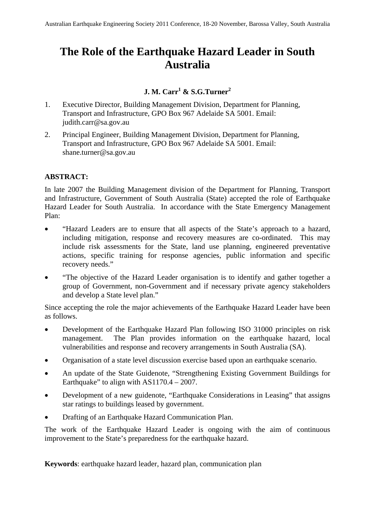# **The Role of the Earthquake Hazard Leader in South Australia**

# **J. M. Carr<sup>1</sup> & S.G.Turner2**

- 1. Executive Director, Building Management Division, Department for Planning, Transport and Infrastructure, GPO Box 967 Adelaide SA 5001. Email: judith.carr@sa.gov.au
- 2. Principal Engineer, Building Management Division, Department for Planning, Transport and Infrastructure, GPO Box 967 Adelaide SA 5001. Email: [shane.turner@sa.gov.au](mailto:shane.turner@sa.gov.au)

# **ABSTRACT:**

In late 2007 the Building Management division of the Department for Planning, Transport and Infrastructure, Government of South Australia (State) accepted the role of Earthquake Hazard Leader for South Australia. In accordance with the State Emergency Management Plan:

- "Hazard Leaders are to ensure that all aspects of the State's approach to a hazard, including mitigation, response and recovery measures are co-ordinated. This may include risk assessments for the State, land use planning, engineered preventative actions, specific training for response agencies, public information and specific recovery needs."
- "The objective of the Hazard Leader organisation is to identify and gather together a group of Government, non-Government and if necessary private agency stakeholders and develop a State level plan."

Since accepting the role the major achievements of the Earthquake Hazard Leader have been as follows.

- Development of the Earthquake Hazard Plan following ISO 31000 principles on risk management. The Plan provides information on the earthquake hazard, local vulnerabilities and response and recovery arrangements in South Australia (SA).
- Organisation of a state level discussion exercise based upon an earthquake scenario.
- An update of the State Guidenote, "Strengthening Existing Government Buildings for Earthquake" to align with  $AS1170.4 - 2007$ .
- Development of a new guidenote, "Earthquake Considerations in Leasing" that assigns star ratings to buildings leased by government.
- Drafting of an Earthquake Hazard Communication Plan.

The work of the Earthquake Hazard Leader is ongoing with the aim of continuous improvement to the State's preparedness for the earthquake hazard.

**Keywords**: earthquake hazard leader, hazard plan, communication plan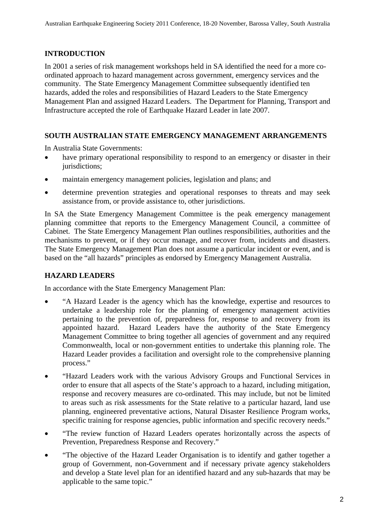# **INTRODUCTION**

In 2001 a series of risk management workshops held in SA identified the need for a more coordinated approach to hazard management across government, emergency services and the community. The State Emergency Management Committee subsequently identified ten hazards, added the roles and responsibilities of Hazard Leaders to the State Emergency Management Plan and assigned Hazard Leaders. The Department for Planning, Transport and Infrastructure accepted the role of Earthquake Hazard Leader in late 2007.

# **SOUTH AUSTRALIAN STATE EMERGENCY MANAGEMENT ARRANGEMENTS**

In Australia State Governments:

- have primary operational responsibility to respond to an emergency or disaster in their jurisdictions;
- maintain emergency management policies, legislation and plans; and
- determine prevention strategies and operational responses to threats and may seek assistance from, or provide assistance to, other jurisdictions.

In SA the State Emergency Management Committee is the peak emergency management planning committee that reports to the Emergency Management Council, a committee of Cabinet. The State Emergency Management Plan outlines responsibilities, authorities and the mechanisms to prevent, or if they occur manage, and recover from, incidents and disasters. The State Emergency Management Plan does not assume a particular incident or event, and is based on the "all hazards" principles as endorsed by Emergency Management Australia.

# **HAZARD LEADERS**

In accordance with the State Emergency Management Plan:

- "A Hazard Leader is the agency which has the knowledge, expertise and resources to undertake a leadership role for the planning of emergency management activities pertaining to the prevention of, preparedness for, response to and recovery from its appointed hazard. Hazard Leaders have the authority of the State Emergency Management Committee to bring together all agencies of government and any required Commonwealth, local or non-government entities to undertake this planning role. The Hazard Leader provides a facilitation and oversight role to the comprehensive planning process."
- "Hazard Leaders work with the various Advisory Groups and Functional Services in order to ensure that all aspects of the State's approach to a hazard, including mitigation, response and recovery measures are co-ordinated. This may include, but not be limited to areas such as risk assessments for the State relative to a particular hazard, land use planning, engineered preventative actions, Natural Disaster Resilience Program works, specific training for response agencies, public information and specific recovery needs."
- "The review function of Hazard Leaders operates horizontally across the aspects of Prevention, Preparedness Response and Recovery."
- "The objective of the Hazard Leader Organisation is to identify and gather together a group of Government, non-Government and if necessary private agency stakeholders and develop a State level plan for an identified hazard and any sub-hazards that may be applicable to the same topic."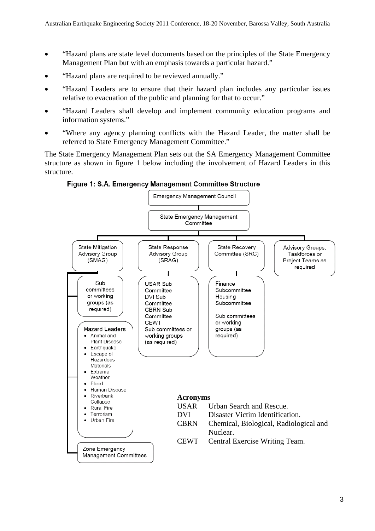- "Hazard plans are state level documents based on the principles of the State Emergency Management Plan but with an emphasis towards a particular hazard."
- "Hazard plans are required to be reviewed annually."
- "Hazard Leaders are to ensure that their hazard plan includes any particular issues relative to evacuation of the public and planning for that to occur."
- "Hazard Leaders shall develop and implement community education programs and information systems."
- "Where any agency planning conflicts with the Hazard Leader, the matter shall be referred to State Emergency Management Committee."

The State Emergency Management Plan sets out the SA Emergency Management Committee structure as shown in figure 1 below including the involvement of Hazard Leaders in this structure.

Figure 1: S.A. Emergency Management Committee Structure

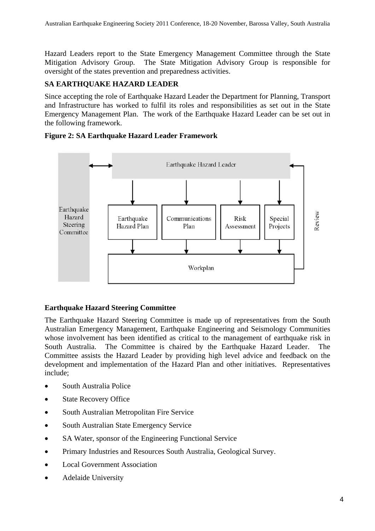Hazard Leaders report to the State Emergency Management Committee through the State Mitigation Advisory Group. The State Mitigation Advisory Group is responsible for oversight of the states prevention and preparedness activities.

#### **SA EARTHQUAKE HAZARD LEADER**

Since accepting the role of Earthquake Hazard Leader the Department for Planning, Transport and Infrastructure has worked to fulfil its roles and responsibilities as set out in the State Emergency Management Plan. The work of the Earthquake Hazard Leader can be set out in the following framework.

#### **Figure 2: SA Earthquake Hazard Leader Framework**



# **Earthquake Hazard Steering Committee**

The Earthquake Hazard Steering Committee is made up of representatives from the South Australian Emergency Management, Earthquake Engineering and Seismology Communities whose involvement has been identified as critical to the management of earthquake risk in South Australia. The Committee is chaired by the Earthquake Hazard Leader. The Committee assists the Hazard Leader by providing high level advice and feedback on the development and implementation of the Hazard Plan and other initiatives. Representatives include;

- South Australia Police
- State Recovery Office
- South Australian Metropolitan Fire Service
- South Australian State Emergency Service
- SA Water, sponsor of the Engineering Functional Service
- Primary Industries and Resources South Australia, Geological Survey.
- Local Government Association
- Adelaide University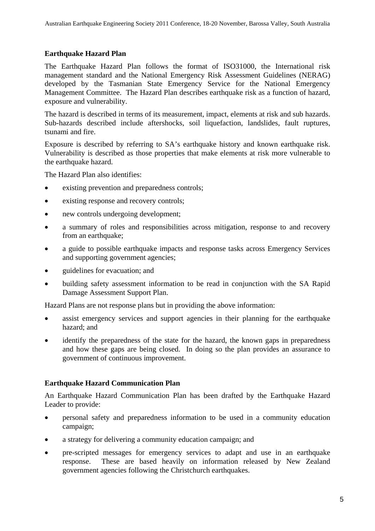#### **Earthquake Hazard Plan**

The Earthquake Hazard Plan follows the format of ISO31000, the International risk management standard and the National Emergency Risk Assessment Guidelines (NERAG) developed by the Tasmanian State Emergency Service for the National Emergency Management Committee. The Hazard Plan describes earthquake risk as a function of hazard, exposure and vulnerability.

The hazard is described in terms of its measurement, impact, elements at risk and sub hazards. Sub-hazards described include aftershocks, soil liquefaction, landslides, fault ruptures, tsunami and fire.

Exposure is described by referring to SA's earthquake history and known earthquake risk. Vulnerability is described as those properties that make elements at risk more vulnerable to the earthquake hazard.

The Hazard Plan also identifies:

- existing prevention and preparedness controls;
- existing response and recovery controls;
- new controls undergoing development;
- a summary of roles and responsibilities across mitigation, response to and recovery from an earthquake;
- a guide to possible earthquake impacts and response tasks across Emergency Services and supporting government agencies;
- guidelines for evacuation; and
- building safety assessment information to be read in conjunction with the SA Rapid Damage Assessment Support Plan.

Hazard Plans are not response plans but in providing the above information:

- assist emergency services and support agencies in their planning for the earthquake hazard; and
- identify the preparedness of the state for the hazard, the known gaps in preparedness and how these gaps are being closed. In doing so the plan provides an assurance to government of continuous improvement.

#### **Earthquake Hazard Communication Plan**

An Earthquake Hazard Communication Plan has been drafted by the Earthquake Hazard Leader to provide:

- personal safety and preparedness information to be used in a community education campaign;
- a strategy for delivering a community education campaign; and
- pre-scripted messages for emergency services to adapt and use in an earthquake response. These are based heavily on information released by New Zealand government agencies following the Christchurch earthquakes.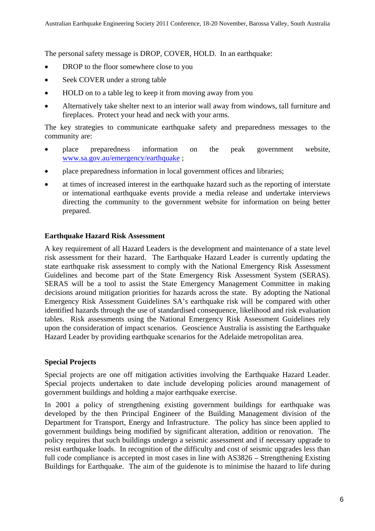The personal safety message is DROP, COVER, HOLD. In an earthquake:

- DROP to the floor somewhere close to you
- Seek COVER under a strong table
- HOLD on to a table leg to keep it from moving away from you
- Alternatively take shelter next to an interior wall away from windows, tall furniture and fireplaces. Protect your head and neck with your arms.

The key strategies to communicate earthquake safety and preparedness messages to the community are:

- place preparedness information on the peak government website, [www.sa.gov.au/emergency/earthquake](http://www.sa.gov.au/emergency/earthquake) ;
- place preparedness information in local government offices and libraries;
- at times of increased interest in the earthquake hazard such as the reporting of interstate or international earthquake events provide a media release and undertake interviews directing the community to the government website for information on being better prepared.

#### **Earthquake Hazard Risk Assessment**

A key requirement of all Hazard Leaders is the development and maintenance of a state level risk assessment for their hazard. The Earthquake Hazard Leader is currently updating the state earthquake risk assessment to comply with the National Emergency Risk Assessment Guidelines and become part of the State Emergency Risk Assessment System (SERAS). SERAS will be a tool to assist the State Emergency Management Committee in making decisions around mitigation priorities for hazards across the state. By adopting the National Emergency Risk Assessment Guidelines SA's earthquake risk will be compared with other identified hazards through the use of standardised consequence, likelihood and risk evaluation tables. Risk assessments using the National Emergency Risk Assessment Guidelines rely upon the consideration of impact scenarios. Geoscience Australia is assisting the Earthquake Hazard Leader by providing earthquake scenarios for the Adelaide metropolitan area.

#### **Special Projects**

Special projects are one off mitigation activities involving the Earthquake Hazard Leader. Special projects undertaken to date include developing policies around management of government buildings and holding a major earthquake exercise.

In 2001 a policy of strengthening existing government buildings for earthquake was developed by the then Principal Engineer of the Building Management division of the Department for Transport, Energy and Infrastructure. The policy has since been applied to government buildings being modified by significant alteration, addition or renovation. The policy requires that such buildings undergo a seismic assessment and if necessary upgrade to resist earthquake loads. In recognition of the difficulty and cost of seismic upgrades less than full code compliance is accepted in most cases in line with AS3826 – Strengthening Existing Buildings for Earthquake. The aim of the guidenote is to minimise the hazard to life during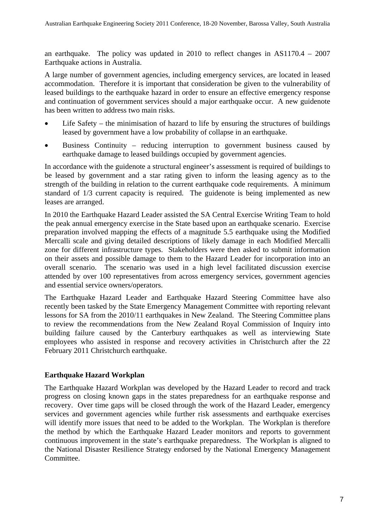an earthquake. The policy was updated in 2010 to reflect changes in AS1170.4 – 2007 Earthquake actions in Australia.

A large number of government agencies, including emergency services, are located in leased accommodation. Therefore it is important that consideration be given to the vulnerability of leased buildings to the earthquake hazard in order to ensure an effective emergency response and continuation of government services should a major earthquake occur. A new guidenote has been written to address two main risks.

- Life Safety the minimisation of hazard to life by ensuring the structures of buildings leased by government have a low probability of collapse in an earthquake.
- Business Continuity reducing interruption to government business caused by earthquake damage to leased buildings occupied by government agencies.

In accordance with the guidenote a structural engineer's assessment is required of buildings to be leased by government and a star rating given to inform the leasing agency as to the strength of the building in relation to the current earthquake code requirements. A minimum standard of 1/3 current capacity is required. The guidenote is being implemented as new leases are arranged.

In 2010 the Earthquake Hazard Leader assisted the SA Central Exercise Writing Team to hold the peak annual emergency exercise in the State based upon an earthquake scenario. Exercise preparation involved mapping the effects of a magnitude 5.5 earthquake using the Modified Mercalli scale and giving detailed descriptions of likely damage in each Modified Mercalli zone for different infrastructure types. Stakeholders were then asked to submit information on their assets and possible damage to them to the Hazard Leader for incorporation into an overall scenario. The scenario was used in a high level facilitated discussion exercise attended by over 100 representatives from across emergency services, government agencies and essential service owners/operators.

The Earthquake Hazard Leader and Earthquake Hazard Steering Committee have also recently been tasked by the State Emergency Management Committee with reporting relevant lessons for SA from the 2010/11 earthquakes in New Zealand. The Steering Committee plans to review the recommendations from the New Zealand Royal Commission of Inquiry into building failure caused by the Canterbury earthquakes as well as interviewing State employees who assisted in response and recovery activities in Christchurch after the 22 February 2011 Christchurch earthquake.

#### **Earthquake Hazard Workplan**

The Earthquake Hazard Workplan was developed by the Hazard Leader to record and track progress on closing known gaps in the states preparedness for an earthquake response and recovery. Over time gaps will be closed through the work of the Hazard Leader, emergency services and government agencies while further risk assessments and earthquake exercises will identify more issues that need to be added to the Workplan. The Workplan is therefore the method by which the Earthquake Hazard Leader monitors and reports to government continuous improvement in the state's earthquake preparedness. The Workplan is aligned to the National Disaster Resilience Strategy endorsed by the National Emergency Management Committee.